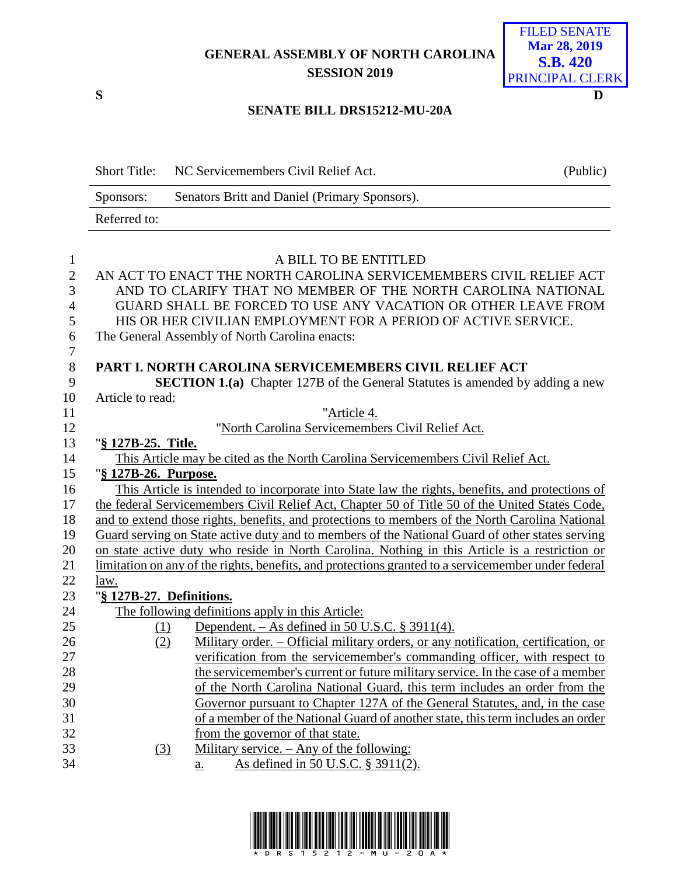## **GENERAL ASSEMBLY OF NORTH CAROLINA SESSION 2019**



## **SENATE BILL DRS15212-MU-20A**

|              | Short Title: NC Servicemembers Civil Relief Act. | (Public) |
|--------------|--------------------------------------------------|----------|
| Sponsors:    | Senators Britt and Daniel (Primary Sponsors).    |          |
| Referred to: |                                                  |          |

| $\mathbf{1}$     | A BILL TO BE ENTITLED                                                                               |
|------------------|-----------------------------------------------------------------------------------------------------|
| $\overline{2}$   | AN ACT TO ENACT THE NORTH CAROLINA SERVICEMEMBERS CIVIL RELIEF ACT                                  |
| 3                | AND TO CLARIFY THAT NO MEMBER OF THE NORTH CAROLINA NATIONAL                                        |
| $\overline{4}$   | GUARD SHALL BE FORCED TO USE ANY VACATION OR OTHER LEAVE FROM                                       |
| 5                | HIS OR HER CIVILIAN EMPLOYMENT FOR A PERIOD OF ACTIVE SERVICE.                                      |
| 6                | The General Assembly of North Carolina enacts:                                                      |
| $\boldsymbol{7}$ |                                                                                                     |
| 8                | PART I. NORTH CAROLINA SERVICEMEMBERS CIVIL RELIEF ACT                                              |
| 9                | <b>SECTION 1.(a)</b> Chapter 127B of the General Statutes is amended by adding a new                |
| 10               | Article to read:                                                                                    |
| 11               | "Article 4.                                                                                         |
| 12               | "North Carolina Servicemembers Civil Relief Act.                                                    |
| 13               | "§ 127B-25. Title.                                                                                  |
| 14               | This Article may be cited as the North Carolina Servicemembers Civil Relief Act.                    |
| 15               | "§ 127B-26. Purpose.                                                                                |
| 16               | This Article is intended to incorporate into State law the rights, benefits, and protections of     |
| 17               | the federal Servicemembers Civil Relief Act, Chapter 50 of Title 50 of the United States Code,      |
| 18               | and to extend those rights, benefits, and protections to members of the North Carolina National     |
| 19               | Guard serving on State active duty and to members of the National Guard of other states serving     |
| 20               | on state active duty who reside in North Carolina. Nothing in this Article is a restriction or      |
| 21               | limitation on any of the rights, benefits, and protections granted to a servicemember under federal |
| 22               | law.                                                                                                |
| 23               | "§ 127B-27. Definitions.                                                                            |
| 24               | The following definitions apply in this Article:                                                    |
| 25               | Dependent. $-$ As defined in 50 U.S.C. § 3911(4).<br>(1)                                            |
| 26               | Military order. - Official military orders, or any notification, certification, or<br>(2)           |
| 27               | verification from the servicemember's commanding officer, with respect to                           |
| 28               | the servicemember's current or future military service. In the case of a member                     |
| 29               | of the North Carolina National Guard, this term includes an order from the                          |
| 30               | Governor pursuant to Chapter 127A of the General Statutes, and, in the case                         |
| 31               | of a member of the National Guard of another state, this term includes an order                     |
| 32               | from the governor of that state.                                                                    |
| 33               | Military service. - Any of the following:<br>(3)                                                    |
| 34               | As defined in 50 U.S.C. § 3911(2).<br>a.                                                            |
|                  |                                                                                                     |

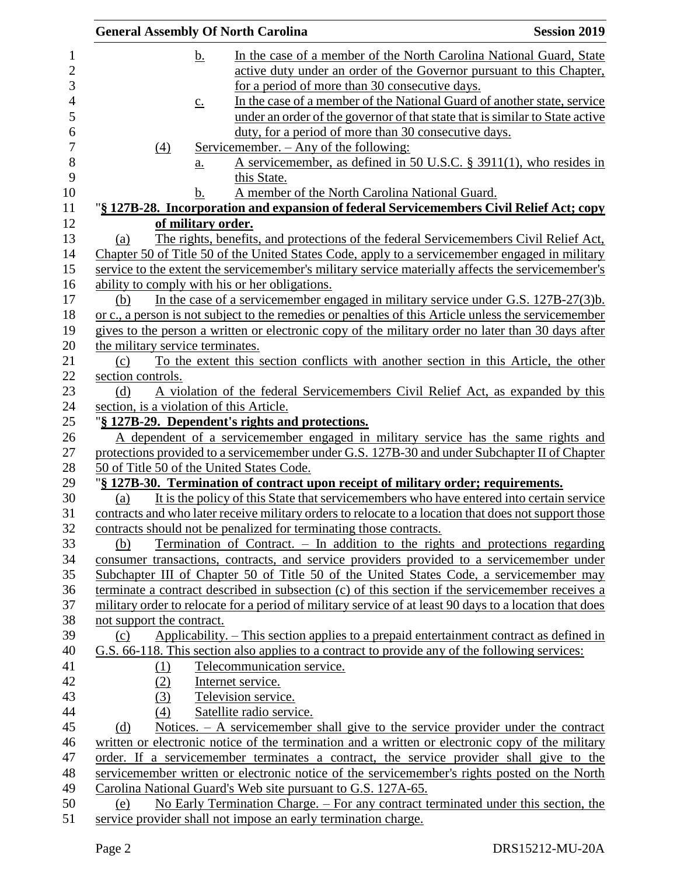|                                  | <b>General Assembly Of North Carolina</b>                                                               | <b>Session 2019</b> |
|----------------------------------|---------------------------------------------------------------------------------------------------------|---------------------|
|                                  | In the case of a member of the North Carolina National Guard, State<br><u>b.</u>                        |                     |
|                                  | active duty under an order of the Governor pursuant to this Chapter,                                    |                     |
|                                  | for a period of more than 30 consecutive days.                                                          |                     |
|                                  | In the case of a member of the National Guard of another state, service<br>$\underline{c}$ .            |                     |
|                                  | under an order of the governor of that state that is similar to State active                            |                     |
|                                  | duty, for a period of more than 30 consecutive days.                                                    |                     |
| $\Delta$                         | <u>Servicemember. – Any of the following:</u>                                                           |                     |
|                                  | A servicemember, as defined in 50 U.S.C. $\S$ 3911(1), who resides in<br>$\underline{a}$ .              |                     |
|                                  | this State.                                                                                             |                     |
|                                  | A member of the North Carolina National Guard.<br>b.                                                    |                     |
|                                  | "§ 127B-28. Incorporation and expansion of federal Servicemembers Civil Relief Act; copy                |                     |
|                                  | of military order.                                                                                      |                     |
| (a)                              | The rights, benefits, and protections of the federal Servicemembers Civil Relief Act,                   |                     |
|                                  | Chapter 50 of Title 50 of the United States Code, apply to a servicemember engaged in military          |                     |
|                                  | service to the extent the servicemember's military service materially affects the servicemember's       |                     |
|                                  | ability to comply with his or her obligations.                                                          |                     |
| (b)                              | In the case of a servicemember engaged in military service under G.S. $127B-27(3)b$ .                   |                     |
|                                  | or c., a person is not subject to the remedies or penalties of this Article unless the servicemember    |                     |
|                                  | gives to the person a written or electronic copy of the military order no later than 30 days after      |                     |
| the military service terminates. |                                                                                                         |                     |
| (c)                              | To the extent this section conflicts with another section in this Article, the other                    |                     |
| section controls.                |                                                                                                         |                     |
| (d)                              | A violation of the federal Servicemembers Civil Relief Act, as expanded by this                         |                     |
|                                  | section, is a violation of this Article.                                                                |                     |
|                                  | "§ 127B-29. Dependent's rights and protections.                                                         |                     |
|                                  | A dependent of a servicemember engaged in military service has the same rights and                      |                     |
|                                  | protections provided to a servicemember under G.S. 127B-30 and under Subchapter II of Chapter           |                     |
|                                  | 50 of Title 50 of the United States Code.                                                               |                     |
|                                  | "§ 127B-30. Termination of contract upon receipt of military order; requirements.                       |                     |
| (a)                              | It is the policy of this State that servicemembers who have entered into certain service                |                     |
|                                  | contracts and who later receive military orders to relocate to a location that does not support those   |                     |
|                                  | contracts should not be penalized for terminating those contracts.                                      |                     |
| (b)                              | Termination of Contract. – In addition to the rights and protections regarding                          |                     |
|                                  | consumer transactions, contracts, and service providers provided to a servicemember under               |                     |
|                                  | Subchapter III of Chapter 50 of Title 50 of the United States Code, a servicemember may                 |                     |
|                                  | terminate a contract described in subsection (c) of this section if the servicemember receives a        |                     |
|                                  | military order to relocate for a period of military service of at least 90 days to a location that does |                     |
| not support the contract.        |                                                                                                         |                     |
| (c)                              | Applicability. – This section applies to a prepaid entertainment contract as defined in                 |                     |
|                                  | G.S. 66-118. This section also applies to a contract to provide any of the following services:          |                     |
| (1)                              | Telecommunication service.                                                                              |                     |
| (2)                              | Internet service.                                                                                       |                     |
| (3)                              | Television service.                                                                                     |                     |
| (4)                              | Satellite radio service.                                                                                |                     |
| (d)                              | Notices. – A servicemember shall give to the service provider under the contract                        |                     |
|                                  | written or electronic notice of the termination and a written or electronic copy of the military        |                     |
|                                  | order. If a servicemember terminates a contract, the service provider shall give to the                 |                     |
|                                  | servicemember written or electronic notice of the servicemember's rights posted on the North            |                     |
|                                  | Carolina National Guard's Web site pursuant to G.S. 127A-65.                                            |                     |
| (e)                              | No Early Termination Charge. – For any contract terminated under this section, the                      |                     |
|                                  | service provider shall not impose an early termination charge.                                          |                     |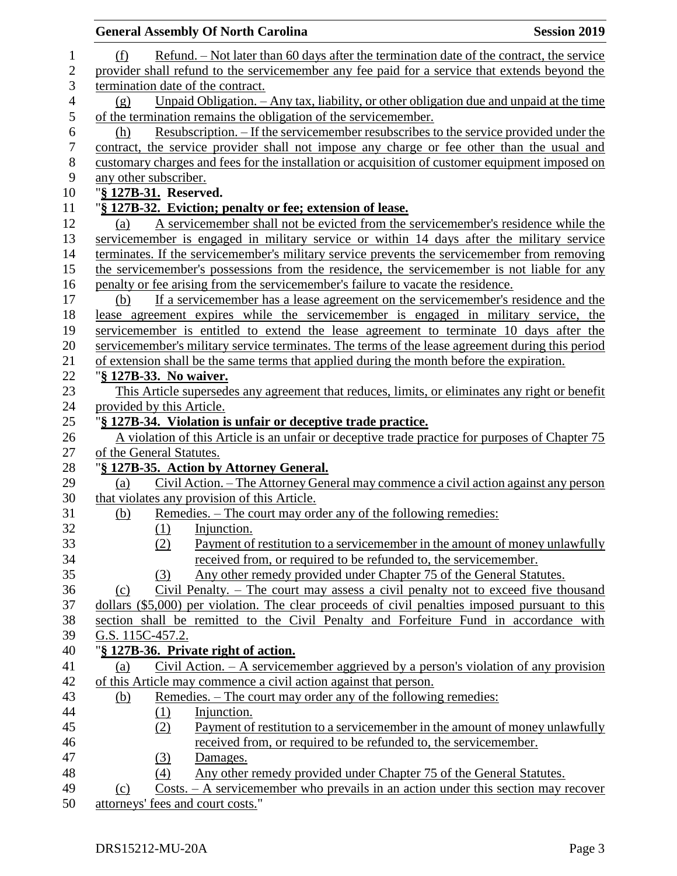|                  | <b>General Assembly Of North Carolina</b>                                                              | <b>Session 2019</b> |
|------------------|--------------------------------------------------------------------------------------------------------|---------------------|
| $\mathbf{1}$     | Refund. – Not later than 60 days after the termination date of the contract, the service<br>(f)        |                     |
| $\overline{2}$   | provider shall refund to the servicemember any fee paid for a service that extends beyond the          |                     |
| 3                | termination date of the contract.                                                                      |                     |
| $\overline{4}$   | Unpaid Obligation. $-$ Any tax, liability, or other obligation due and unpaid at the time<br>(g)       |                     |
| 5                | of the termination remains the obligation of the servicemember.                                        |                     |
| 6                | Resubscription. – If the servicemember resubscribes to the service provided under the<br>(h)           |                     |
| $\boldsymbol{7}$ | contract, the service provider shall not impose any charge or fee other than the usual and             |                     |
| 8                | customary charges and fees for the installation or acquisition of customer equipment imposed on        |                     |
| 9                | any other subscriber.                                                                                  |                     |
| 10               | "§ 127B-31. Reserved.                                                                                  |                     |
| 11               | "§ 127B-32. Eviction; penalty or fee; extension of lease.                                              |                     |
| 12               | A servicemember shall not be evicted from the servicemember's residence while the<br>(a)               |                     |
| 13               | servicemember is engaged in military service or within 14 days after the military service              |                     |
| 14               | terminates. If the servicemember's military service prevents the servicemember from removing           |                     |
| 15               | the servicemember's possessions from the residence, the servicemember is not liable for any            |                     |
| 16               | penalty or fee arising from the servicemember's failure to vacate the residence.                       |                     |
| 17               | If a servicemember has a lease agreement on the servicemember's residence and the<br>(b)               |                     |
| 18               | lease agreement expires while the servicemember is engaged in military service, the                    |                     |
| 19               | servicemember is entitled to extend the lease agreement to terminate 10 days after the                 |                     |
| 20               | servicemember's military service terminates. The terms of the lease agreement during this period       |                     |
| 21               | of extension shall be the same terms that applied during the month before the expiration.              |                     |
| 22               | "§ 127B-33. No waiver.                                                                                 |                     |
| 23               | This Article supersedes any agreement that reduces, limits, or eliminates any right or benefit         |                     |
| 24               | provided by this Article.                                                                              |                     |
| 25               | "§ 127B-34. Violation is unfair or deceptive trade practice.                                           |                     |
| 26               | A violation of this Article is an unfair or deceptive trade practice for purposes of Chapter 75        |                     |
| 27               | of the General Statutes.                                                                               |                     |
| 28               | "§ 127B-35. Action by Attorney General.                                                                |                     |
| 29               | Civil Action. – The Attorney General may commence a civil action against any person<br>(a)             |                     |
| 30               | that violates any provision of this Article.                                                           |                     |
| 31<br>32         | Remedies. - The court may order any of the following remedies:<br><u>(b)</u>                           |                     |
| 33               | (1)<br>Injunction.<br>Payment of restitution to a servicemember in the amount of money unlawfully      |                     |
| 34               | (2)<br>received from, or required to be refunded to, the servicemember.                                |                     |
| 35               | Any other remedy provided under Chapter 75 of the General Statutes.<br>(3)                             |                     |
| 36               | Civil Penalty. – The court may assess a civil penalty not to exceed five thousand<br>(c)               |                     |
| 37               | dollars (\$5,000) per violation. The clear proceeds of civil penalties imposed pursuant to this        |                     |
| 38               | section shall be remitted to the Civil Penalty and Forfeiture Fund in accordance with                  |                     |
| 39               | G.S. 115C-457.2.                                                                                       |                     |
| 40               | "§ 127B-36. Private right of action.                                                                   |                     |
| 41               | Civil Action. $-\underline{A}$ servicemember aggrieved by a person's violation of any provision<br>(a) |                     |
| 42               | of this Article may commence a civil action against that person.                                       |                     |
| 43               | Remedies. – The court may order any of the following remedies:<br>(b)                                  |                     |
| 44               | Injunction.<br>(1)                                                                                     |                     |
| 45               | Payment of restitution to a servicemember in the amount of money unlawfully<br>(2)                     |                     |
| 46               | received from, or required to be refunded to, the servicemember.                                       |                     |
| 47               | Damages.<br>(3)                                                                                        |                     |
| 48               | Any other remedy provided under Chapter 75 of the General Statutes.<br>(4)                             |                     |
| 49               | $Costs. - A servicemember who prevails in an action under this section may recover$<br>(c)             |                     |
| 50               | attorneys' fees and court costs."                                                                      |                     |